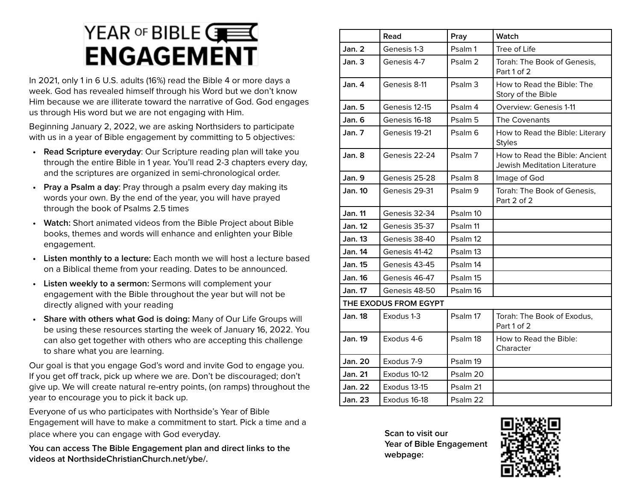## YEAR OF BIBLE  $\overline{\mathbf{G}}$ **ENGAGEMENT**

In 2021, only 1 in 6 U.S. adults (16%) read the Bible 4 or more days a week. God has revealed himself through his Word but we don't know Him because we are illiterate toward the narrative of God. God engages us through His word but we are not engaging with Him.

Beginning January 2, 2022, we are asking Northsiders to participate with us in a year of Bible engagement by committing to 5 objectives:

- **• Read Scripture everyday**: Our Scripture reading plan will take you through the entire Bible in 1 year. You'll read 2-3 chapters every day, and the scriptures are organized in semi-chronological order.
- **• Pray a Psalm a day**: Pray through a psalm every day making its words your own. By the end of the year, you will have prayed through the book of Psalms 2.5 times
- **• Watch:** Short animated videos from the Bible Project about Bible books, themes and words will enhance and enlighten your Bible engagement.
- **• Listen monthly to a lecture:** Each month we will host a lecture based on a Biblical theme from your reading. Dates to be announced.
- **• Listen weekly to a sermon:** Sermons will complement your engagement with the Bible throughout the year but will not be directly aligned with your reading
- **• Share with others what God is doing:** Many of Our Life Groups will be using these resources starting the week of January 16, 2022. You can also get together with others who are accepting this challenge to share what you are learning.

Our goal is that you engage God's word and invite God to engage you. If you get off track, pick up where we are. Don't be discouraged; don't give up. We will create natural re-entry points, (on ramps) throughout the year to encourage you to pick it back up.

Everyone of us who participates with Northside's Year of Bible Engagement will have to make a commitment to start. Pick a time and a place where you can engage with God everyday.

**You can access The Bible Engagement plan and direct links to the videos at NorthsideChristianChurch.net/ybe/.**

|                | Read                  | Pray               | Watch                                                          |
|----------------|-----------------------|--------------------|----------------------------------------------------------------|
| Jan. 2         | Genesis 1-3           | Psalm 1            | Tree of Life                                                   |
| Jan.3          | Genesis 4-7           | Psalm <sub>2</sub> | Torah: The Book of Genesis,<br>Part 1 of 2                     |
| Jan. 4         | Genesis 8-11          | Psalm <sub>3</sub> | How to Read the Bible: The<br>Story of the Bible               |
| <b>Jan. 5</b>  | Genesis 12-15         | Psalm 4            | Overview: Genesis 1-11                                         |
| Jan. 6         | Genesis 16-18         | Psalm 5            | The Covenants                                                  |
| Jan.7          | Genesis 19-21         | Psalm <sub>6</sub> | How to Read the Bible: Literary<br><b>Styles</b>               |
| Jan. 8         | Genesis 22-24         | Psalm 7            | How to Read the Bible: Ancient<br>Jewish Meditation Literature |
| <b>Jan. 9</b>  | Genesis 25-28         | Psalm <sub>8</sub> | Image of God                                                   |
| <b>Jan. 10</b> | Genesis 29-31         | Psalm <sub>9</sub> | Torah: The Book of Genesis,<br>Part 2 of 2                     |
| Jan. 11        | Genesis 32-34         | Psalm 10           |                                                                |
| <b>Jan. 12</b> | Genesis 35-37         | Psalm 11           |                                                                |
| Jan. 13        | Genesis 38-40         | Psalm 12           |                                                                |
| Jan. 14        | Genesis 41-42         | Psalm 13           |                                                                |
| <b>Jan. 15</b> | Genesis 43-45         | Psalm 14           |                                                                |
| Jan. 16        | Genesis 46-47         | Psalm 15           |                                                                |
| Jan. 17        | Genesis 48-50         | Psalm 16           |                                                                |
|                | THE EXODUS FROM EGYPT |                    |                                                                |
| <b>Jan.</b> 18 | Exodus 1-3            | Psalm 17           | Torah: The Book of Exodus,<br>Part 1 of 2                      |
| <b>Jan. 19</b> | Exodus 4-6            | Psalm 18           | How to Read the Bible:<br>Character                            |
| Jan. 20        | Exodus 7-9            | Psalm 19           |                                                                |
| <b>Jan. 21</b> | Exodus 10-12          | Psalm 20           |                                                                |
| <b>Jan. 22</b> | Exodus 13-15          | Psalm 21           |                                                                |
| <b>Jan. 23</b> | Exodus 16-18          | Psalm 22           |                                                                |

**Scan to visit our Year of Bible Engagement webpage:**

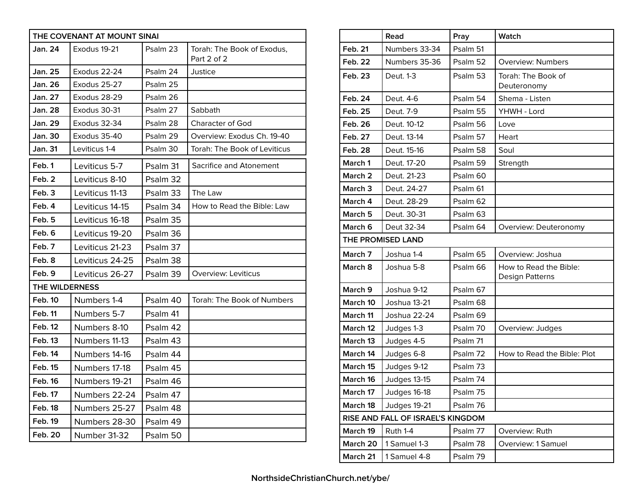|                       | THE COVENANT AT MOUNT SINAI |          |                                           |
|-----------------------|-----------------------------|----------|-------------------------------------------|
| Jan. 24               | Exodus 19-21                | Psalm 23 | Torah: The Book of Exodus,<br>Part 2 of 2 |
| Jan. 25               | Exodus 22-24                | Psalm 24 | Justice                                   |
| Jan. 26               | Exodus 25-27                | Psalm 25 |                                           |
| <b>Jan. 27</b>        | Exodus 28-29                | Psalm 26 |                                           |
| Jan. 28               | Exodus 30-31                | Psalm 27 | Sabbath                                   |
| <b>Jan. 29</b>        | Exodus 32-34                | Psalm 28 | <b>Character of God</b>                   |
| Jan. 30               | Exodus 35-40                | Psalm 29 | Overview: Exodus Ch. 19-40                |
| Jan. 31               | Leviticus 1-4               | Psalm 30 | Torah: The Book of Leviticus              |
| Feb. 1                | Leviticus 5-7               | Psalm 31 | Sacrifice and Atonement                   |
| Feb. 2                | Leviticus 8-10              | Psalm 32 |                                           |
| Feb. 3                | Leviticus 11-13             | Psalm 33 | The Law                                   |
| Feb. 4                | Leviticus 14-15             | Psalm 34 | How to Read the Bible: Law                |
| Feb. 5                | Leviticus 16-18             | Psalm 35 |                                           |
| Feb. 6                | Leviticus 19-20             | Psalm 36 |                                           |
| Feb. 7                | Leviticus 21-23             | Psalm 37 |                                           |
| Feb. 8                | Leviticus 24-25             | Psalm 38 |                                           |
| Feb. 9                | Leviticus 26-27             | Psalm 39 | Overview: Leviticus                       |
| <b>THE WILDERNESS</b> |                             |          |                                           |
| <b>Feb. 10</b>        | Numbers 1-4                 | Psalm 40 | Torah: The Book of Numbers                |
| <b>Feb. 11</b>        | Numbers 5-7                 | Psalm 41 |                                           |
| Feb. 12               | Numbers 8-10                | Psalm 42 |                                           |
| <b>Feb. 13</b>        | Numbers 11-13               | Psalm 43 |                                           |
| Feb. 14               | Numbers 14-16               | Psalm 44 |                                           |
| Feb. 15               | Numbers 17-18               | Psalm 45 |                                           |
| <b>Feb. 16</b>        | Numbers 19-21               | Psalm 46 |                                           |
| Feb. 17               | Numbers 22-24               | Psalm 47 |                                           |
| <b>Feb. 18</b>        | Numbers 25-27               | Psalm 48 |                                           |
| Feb. 19               | Numbers 28-30               | Psalm 49 |                                           |
| <b>Feb. 20</b>        | Number 31-32                | Psalm 50 |                                           |

|                    | Read                              | Pray     | Watch                                     |
|--------------------|-----------------------------------|----------|-------------------------------------------|
| <b>Feb. 21</b>     | Numbers 33-34                     | Psalm 51 |                                           |
| Feb. 22            | Numbers 35-36                     | Psalm 52 | <b>Overview: Numbers</b>                  |
| Feb. 23            | Deut. 1-3                         | Psalm 53 | Torah: The Book of<br>Deuteronomy         |
| Feb. 24            | Deut. 4-6                         | Psalm 54 | Shema - Listen                            |
| Feb. 25            | Deut. 7-9                         | Psalm 55 | YHWH - Lord                               |
| <b>Feb. 26</b>     | Deut. 10-12                       | Psalm 56 | Love                                      |
| Feb. 27            | Deut. 13-14                       | Psalm 57 | Heart                                     |
| Feb. 28            | Deut. 15-16                       | Psalm 58 | Soul                                      |
| March 1            | Deut. 17-20                       | Psalm 59 | Strength                                  |
| March <sub>2</sub> | Deut. 21-23                       | Psalm 60 |                                           |
| March <sub>3</sub> | Deut. 24-27                       | Psalm 61 |                                           |
| March 4            | Deut. 28-29                       | Psalm 62 |                                           |
| March <sub>5</sub> | Deut. 30-31                       | Psalm 63 |                                           |
| March 6            | Deut 32-34                        | Psalm 64 | Overview: Deuteronomy                     |
|                    | <b>THE PROMISED LAND</b>          |          |                                           |
| March 7            | Joshua 1-4                        | Psalm 65 | Overview: Joshua                          |
| March 8            | Joshua 5-8                        | Psalm 66 | How to Read the Bible:<br>Design Patterns |
| March 9            | Joshua 9-12                       | Psalm 67 |                                           |
| March 10           | Joshua 13-21                      | Psalm 68 |                                           |
| March 11           | Joshua 22-24                      | Psalm 69 |                                           |
| March 12           | Judges 1-3                        | Psalm 70 | Overview: Judges                          |
| March 13           | Judges 4-5                        | Psalm 71 |                                           |
| March 14           | Judges 6-8                        | Psalm 72 | How to Read the Bible: Plot               |
| March 15           | Judges 9-12                       | Psalm 73 |                                           |
| March 16           | Judges 13-15                      | Psalm 74 |                                           |
| March 17           | Judges 16-18                      | Psalm 75 |                                           |
| March 18           | Judges 19-21                      | Psalm 76 |                                           |
|                    | RISE AND FALL OF ISRAEL'S KINGDOM |          |                                           |
| March 19           | Ruth 1-4                          | Psalm 77 | Overview: Ruth                            |
| March 20           | 1 Samuel 1-3                      | Psalm 78 | Overview: 1 Samuel                        |
| March 21           | 1 Samuel 4-8                      | Psalm 79 |                                           |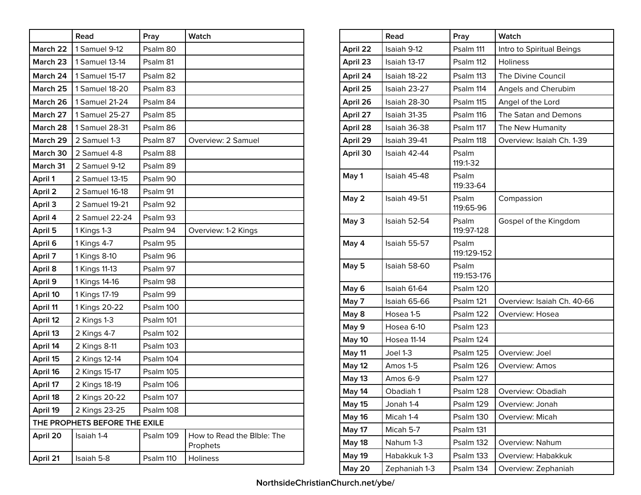|          | Read                          | Pray      | Watch                                  |
|----------|-------------------------------|-----------|----------------------------------------|
| March 22 | 1 Samuel 9-12                 | Psalm 80  |                                        |
| March 23 | 1 Samuel 13-14                | Psalm 81  |                                        |
| March 24 | 1 Samuel 15-17                | Psalm 82  |                                        |
| March 25 | 1 Samuel 18-20                | Psalm 83  |                                        |
| March 26 | 1 Samuel 21-24                | Psalm 84  |                                        |
| March 27 | 1 Samuel 25-27                | Psalm 85  |                                        |
| March 28 | 1 Samuel 28-31                | Psalm 86  |                                        |
| March 29 | 2 Samuel 1-3                  | Psalm 87  | Overview: 2 Samuel                     |
| March 30 | 2 Samuel 4-8                  | Psalm 88  |                                        |
| March 31 | 2 Samuel 9-12                 | Psalm 89  |                                        |
| April 1  | 2 Samuel 13-15                | Psalm 90  |                                        |
| April 2  | 2 Samuel 16-18                | Psalm 91  |                                        |
| April 3  | 2 Samuel 19-21                | Psalm 92  |                                        |
| April 4  | 2 Samuel 22-24                | Psalm 93  |                                        |
| April 5  | 1 Kings 1-3                   | Psalm 94  | Overview: 1-2 Kings                    |
| April 6  | 1 Kings 4-7                   | Psalm 95  |                                        |
| April 7  | 1 Kings 8-10                  | Psalm 96  |                                        |
| April 8  | 1 Kings 11-13                 | Psalm 97  |                                        |
| April 9  | 1 Kings 14-16                 | Psalm 98  |                                        |
| April 10 | 1 Kings 17-19                 | Psalm 99  |                                        |
| April 11 | 1 Kings 20-22                 | Psalm 100 |                                        |
| April 12 | 2 Kings 1-3                   | Psalm 101 |                                        |
| April 13 | 2 Kings 4-7                   | Psalm 102 |                                        |
| April 14 | 2 Kings 8-11                  | Psalm 103 |                                        |
| April 15 | 2 Kings 12-14                 | Psalm 104 |                                        |
| April 16 | 2 Kings 15-17                 | Psalm 105 |                                        |
| April 17 | 2 Kings 18-19                 | Psalm 106 |                                        |
| April 18 | 2 Kings 20-22                 | Psalm 107 |                                        |
| April 19 | 2 Kings 23-25                 | Psalm 108 |                                        |
|          | THE PROPHETS BEFORE THE EXILE |           |                                        |
| April 20 | Isaiah 1-4                    | Psalm 109 | How to Read the Bible: The<br>Prophets |
| April 21 | Isaiah 5-8                    | Psalm 110 | Holiness                               |

|               | Read          | Pray                 | Watch                      |
|---------------|---------------|----------------------|----------------------------|
| April 22      | Isaiah 9-12   | Psalm 111            | Intro to Spiritual Beings  |
| April 23      | Isaiah 13-17  | Psalm 112            | <b>Holiness</b>            |
| April 24      | Isaiah 18-22  | Psalm 113            | The Divine Council         |
| April 25      | Isaiah 23-27  | Psalm 114            | Angels and Cherubim        |
| April 26      | Isaiah 28-30  | Psalm 115            | Angel of the Lord          |
| April 27      | Isaiah 31-35  | Psalm 116            | The Satan and Demons       |
| April 28      | Isaiah 36-38  | Psalm 117            | The New Humanity           |
| April 29      | Isaiah 39-41  | Psalm 118            | Overview: Isaiah Ch. 1-39  |
| April 30      | Isaiah 42-44  | Psalm<br>119:1-32    |                            |
| May 1         | Isaiah 45-48  | Psalm<br>119:33-64   |                            |
| May 2         | Isaiah 49-51  | Psalm<br>119:65-96   | Compassion                 |
| May 3         | Isaiah 52-54  | Psalm<br>119:97-128  | Gospel of the Kingdom      |
| May 4         | Isaiah 55-57  | Psalm<br>119:129-152 |                            |
| May 5         | Isaiah 58-60  | Psalm<br>119:153-176 |                            |
| May 6         | Isaiah 61-64  | Psalm 120            |                            |
| May 7         | Isaiah 65-66  | Psalm 121            | Overview: Isaiah Ch. 40-66 |
| May 8         | Hosea 1-5     | Psalm 122            | Overview: Hosea            |
| May 9         | Hosea 6-10    | Psalm 123            |                            |
| May 10        | Hosea 11-14   | Psalm 124            |                            |
| May 11        | Joel 1-3      | Psalm 125            | Overview: Joel             |
| May 12        | Amos 1-5      | Psalm 126            | Overview: Amos             |
| May 13        | Amos 6-9      | Psalm 127            |                            |
| <b>May 14</b> | Obadiah 1     | Psalm 128            | Overview: Obadiah          |
| <b>May 15</b> | Jonah 1-4     | Psalm 129            | Overview: Jonah            |
| <b>May 16</b> | Micah 1-4     | Psalm 130            | Overview: Micah            |
| May 17        | Micah 5-7     | Psalm 131            |                            |
| May 18        | Nahum 1-3     | Psalm 132            | Overview: Nahum            |
| <b>May 19</b> | Habakkuk 1-3  | Psalm 133            | Overview: Habakkuk         |
| <b>May 20</b> | Zephaniah 1-3 | Psalm 134            | Overview: Zephaniah        |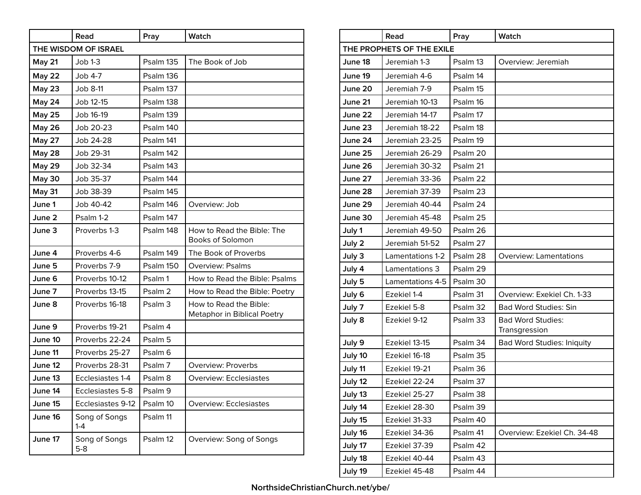|               | Read                   | Pray               | Watch                                                 |  |  |
|---------------|------------------------|--------------------|-------------------------------------------------------|--|--|
|               | THE WISDOM OF ISRAEL   |                    |                                                       |  |  |
| May 21        | $Job 1-3$              | Psalm 135          | The Book of Job                                       |  |  |
| <b>May 22</b> | Job 4-7                | Psalm 136          |                                                       |  |  |
| <b>May 23</b> | Job 8-11               | Psalm 137          |                                                       |  |  |
| May 24        | Job 12-15              | Psalm 138          |                                                       |  |  |
| <b>May 25</b> | Job 16-19              | Psalm 139          |                                                       |  |  |
| <b>May 26</b> | Job 20-23              | Psalm 140          |                                                       |  |  |
| <b>May 27</b> | Job 24-28              | Psalm 141          |                                                       |  |  |
| <b>May 28</b> | Job 29-31              | Psalm 142          |                                                       |  |  |
| <b>May 29</b> | Job 32-34              | Psalm 143          |                                                       |  |  |
| <b>May 30</b> | Job 35-37              | Psalm 144          |                                                       |  |  |
| May 31        | Job 38-39              | Psalm 145          |                                                       |  |  |
| June 1        | Job 40-42              | Psalm 146          | Overview: Job                                         |  |  |
| June 2        | Psalm 1-2              | Psalm 147          |                                                       |  |  |
| June 3        | Proverbs 1-3           | Psalm 148          | How to Read the Bible: The<br><b>Books of Solomon</b> |  |  |
| June 4        | Proverbs 4-6           | Psalm 149          | The Book of Proverbs                                  |  |  |
| June 5        | Proverbs 7-9           | Psalm 150          | <b>Overview: Psalms</b>                               |  |  |
| June 6        | Proverbs 10-12         | Psalm 1            | How to Read the Bible: Psalms                         |  |  |
| June 7        | Proverbs 13-15         | Psalm <sub>2</sub> | How to Read the Bible: Poetry                         |  |  |
| June 8        | Proverbs 16-18         | Psalm <sub>3</sub> | How to Read the Bible:<br>Metaphor in Biblical Poetry |  |  |
| June 9        | Proverbs 19-21         | Psalm 4            |                                                       |  |  |
| June 10       | Proverbs 22-24         | Psalm 5            |                                                       |  |  |
| June 11       | Proverbs 25-27         | Psalm 6            |                                                       |  |  |
| June 12       | Proverbs 28-31         | Psalm 7            | <b>Overview: Proverbs</b>                             |  |  |
| June 13       | Ecclesiastes 1-4       | Psalm 8            | <b>Overview: Ecclesiastes</b>                         |  |  |
| June 14       | Ecclesiastes 5-8       | Psalm 9            |                                                       |  |  |
| June 15       | Ecclesiastes 9-12      | Psalm 10           | Overview: Ecclesiastes                                |  |  |
| June 16       | Song of Songs<br>1-4   | Psalm 11           |                                                       |  |  |
| June 17       | Song of Songs<br>$5-8$ | Psalm 12           | Overview: Song of Songs                               |  |  |

|         | Read                      | Pray     | Watch                                     |
|---------|---------------------------|----------|-------------------------------------------|
|         | THE PROPHETS OF THE EXILE |          |                                           |
| June 18 | Jeremiah 1-3              | Psalm 13 | Overview: Jeremiah                        |
| June 19 | Jeremiah 4-6              | Psalm 14 |                                           |
| June 20 | Jeremiah 7-9              | Psalm 15 |                                           |
| June 21 | Jeremiah 10-13            | Psalm 16 |                                           |
| June 22 | Jeremiah 14-17            | Psalm 17 |                                           |
| June 23 | Jeremiah 18-22            | Psalm 18 |                                           |
| June 24 | Jeremiah 23-25            | Psalm 19 |                                           |
| June 25 | Jeremiah 26-29            | Psalm 20 |                                           |
| June 26 | Jeremiah 30-32            | Psalm 21 |                                           |
| June 27 | Jeremiah 33-36            | Psalm 22 |                                           |
| June 28 | Jeremiah 37-39            | Psalm 23 |                                           |
| June 29 | Jeremiah 40-44            | Psalm 24 |                                           |
| June 30 | Jeremiah 45-48            | Psalm 25 |                                           |
| July 1  | Jeremiah 49-50            | Psalm 26 |                                           |
| July 2  | Jeremiah 51-52            | Psalm 27 |                                           |
| July 3  | Lamentations 1-2          | Psalm 28 | <b>Overview: Lamentations</b>             |
| July 4  | Lamentations 3            | Psalm 29 |                                           |
| July 5  | Lamentations 4-5          | Psalm 30 |                                           |
| July 6  | Ezekiel 1-4               | Psalm 31 | Overview: Exekiel Ch. 1-33                |
| July 7  | Ezekiel 5-8               | Psalm 32 | <b>Bad Word Studies: Sin</b>              |
| July 8  | Ezekiel 9-12              | Psalm 33 | <b>Bad Word Studies:</b><br>Transgression |
| July 9  | Ezekiel 13-15             | Psalm 34 | <b>Bad Word Studies: Iniquity</b>         |
| July 10 | Ezekiel 16-18             | Psalm 35 |                                           |
| July 11 | Ezekiel 19-21             | Psalm 36 |                                           |
| July 12 | Ezekiel 22-24             | Psalm 37 |                                           |
| July 13 | Ezekiel 25-27             | Psalm 38 |                                           |
| July 14 | Ezekiel 28-30             | Psalm 39 |                                           |
| July 15 | Ezekiel 31-33             | Psalm 40 |                                           |
| July 16 | Ezekiel 34-36             | Psalm 41 | Overview: Ezekiel Ch. 34-48               |
| July 17 | Ezekiel 37-39             | Psalm 42 |                                           |
| July 18 | Ezekiel 40-44             | Psalm 43 |                                           |
| July 19 | Ezekiel 45-48             | Psalm 44 |                                           |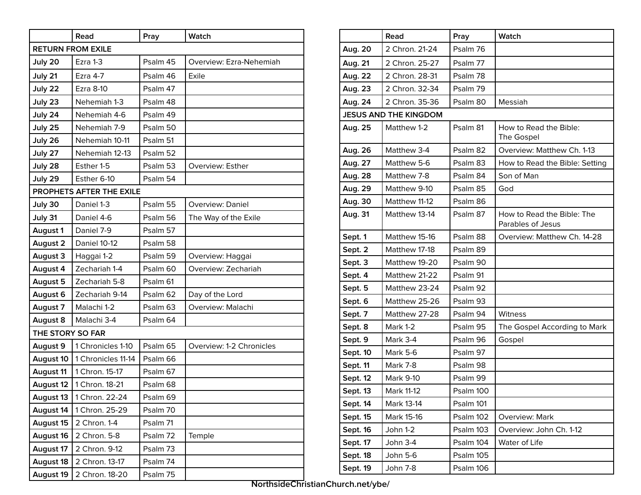|                  | Read                     | Pray     | Watch                    |  |  |
|------------------|--------------------------|----------|--------------------------|--|--|
|                  | <b>RETURN FROM EXILE</b> |          |                          |  |  |
| July 20          | Ezra 1-3                 | Psalm 45 | Overview: Ezra-Nehemiah  |  |  |
| July 21          | Ezra 4-7                 | Psalm 46 | Exile                    |  |  |
| July 22          | Ezra 8-10                | Psalm 47 |                          |  |  |
| July 23          | Nehemiah 1-3             | Psalm 48 |                          |  |  |
| July 24          | Nehemiah 4-6             | Psalm 49 |                          |  |  |
| July 25          | Nehemiah 7-9             | Psalm 50 |                          |  |  |
| July 26          | Nehemiah 10-11           | Psalm 51 |                          |  |  |
| July 27          | Nehemiah 12-13           | Psalm 52 |                          |  |  |
| July 28          | Esther 1-5               | Psalm 53 | <b>Overview: Esther</b>  |  |  |
| July 29          | Esther 6-10              | Psalm 54 |                          |  |  |
|                  | PROPHETS AFTER THE EXILE |          |                          |  |  |
| July 30          | Daniel 1-3               | Psalm 55 | <b>Overview: Daniel</b>  |  |  |
| July 31          | Daniel 4-6               | Psalm 56 | The Way of the Exile     |  |  |
| August 1         | Daniel 7-9               | Psalm 57 |                          |  |  |
| August 2         | Daniel 10-12             | Psalm 58 |                          |  |  |
| August 3         | Haggai 1-2               | Psalm 59 | Overview: Haggai         |  |  |
| August 4         | Zechariah 1-4            | Psalm 60 | Overview: Zechariah      |  |  |
| August 5         | Zechariah 5-8            | Psalm 61 |                          |  |  |
| August 6         | Zechariah 9-14           | Psalm 62 | Day of the Lord          |  |  |
| August 7         | Malachi 1-2              | Psalm 63 | Overview: Malachi        |  |  |
| August 8         | Malachi 3-4              | Psalm 64 |                          |  |  |
| THE STORY SO FAR |                          |          |                          |  |  |
| August 9         | 1 Chronicles 1-10        | Psalm 65 | Overview: 1-2 Chronicles |  |  |
| August 10        | 1 Chronicles 11-14       | Psalm 66 |                          |  |  |
| August 11        | 1 Chron. 15-17           | Psalm 67 |                          |  |  |
| August 12        | 1 Chron. 18-21           | Psalm 68 |                          |  |  |
| August 13        | 1 Chron. 22-24           | Psalm 69 |                          |  |  |
| August 14        | 1 Chron. 25-29           | Psalm 70 |                          |  |  |
| August 15        | 2 Chron. 1-4             | Psalm 71 |                          |  |  |
| August 16        | 2 Chron. 5-8             | Psalm 72 | Temple                   |  |  |
| August 17        | 2 Chron. 9-12            | Psalm 73 |                          |  |  |
| August 18        | 2 Chron. 13-17           | Psalm 74 |                          |  |  |
| August 19        | 2 Chron. 18-20           | Psalm 75 |                          |  |  |

|          | Read                         | Pray      | Watch                                           |
|----------|------------------------------|-----------|-------------------------------------------------|
| Aug. 20  | 2 Chron. 21-24               | Psalm 76  |                                                 |
| Aug. 21  | 2 Chron. 25-27               | Psalm 77  |                                                 |
| Aug. 22  | 2 Chron. 28-31               | Psalm 78  |                                                 |
| Aug. 23  | 2 Chron. 32-34               | Psalm 79  |                                                 |
| Aug. 24  | 2 Chron. 35-36               | Psalm 80  | Messiah                                         |
|          | <b>JESUS AND THE KINGDOM</b> |           |                                                 |
| Aug. 25  | Matthew 1-2                  | Psalm 81  | How to Read the Bible:<br>The Gospel            |
| Aug. 26  | Matthew 3-4                  | Psalm 82  | Overview: Matthew Ch. 1-13                      |
| Aug. 27  | Matthew 5-6                  | Psalm 83  | How to Read the Bible: Setting                  |
| Aug. 28  | Matthew 7-8                  | Psalm 84  | Son of Man                                      |
| Aug. 29  | Matthew 9-10                 | Psalm 85  | God                                             |
| Aug. 30  | Matthew 11-12                | Psalm 86  |                                                 |
| Aug. 31  | Matthew 13-14                | Psalm 87  | How to Read the Bible: The<br>Parables of Jesus |
| Sept. 1  | Matthew 15-16                | Psalm 88  | Overview: Matthew Ch. 14-28                     |
| Sept. 2  | Matthew 17-18                | Psalm 89  |                                                 |
| Sept. 3  | Matthew 19-20                | Psalm 90  |                                                 |
| Sept. 4  | Matthew 21-22                | Psalm 91  |                                                 |
| Sept. 5  | Matthew 23-24                | Psalm 92  |                                                 |
| Sept. 6  | Matthew 25-26                | Psalm 93  |                                                 |
| Sept. 7  | Matthew 27-28                | Psalm 94  | Witness                                         |
| Sept. 8  | Mark 1-2                     | Psalm 95  | The Gospel According to Mark                    |
| Sept. 9  | Mark 3-4                     | Psalm 96  | Gospel                                          |
| Sept. 10 | Mark 5-6                     | Psalm 97  |                                                 |
| Sept. 11 | Mark 7-8                     | Psalm 98  |                                                 |
| Sept. 12 | Mark 9-10                    | Psalm 99  |                                                 |
| Sept. 13 | Mark 11-12                   | Psalm 100 |                                                 |
| Sept. 14 | Mark 13-14                   | Psalm 101 |                                                 |
| Sept. 15 | Mark 15-16                   | Psalm 102 | Overview: Mark                                  |
| Sept. 16 | John 1-2                     | Psalm 103 | Overview: John Ch. 1-12                         |
| Sept. 17 | John 3-4                     | Psalm 104 | Water of Life                                   |
| Sept. 18 | John 5-6                     | Psalm 105 |                                                 |
| Sept. 19 | John 7-8                     | Psalm 106 |                                                 |

**NorthsideChristianChurch.net/ybe/**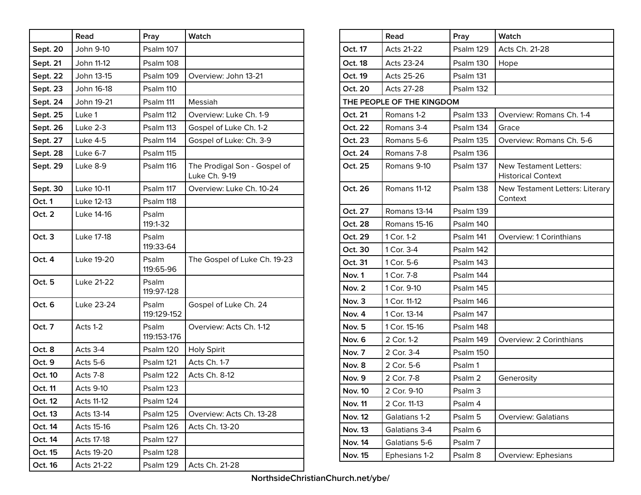|          | Read              | Pray                 | Watch                                         |
|----------|-------------------|----------------------|-----------------------------------------------|
| Sept. 20 | John 9-10         | Psalm 107            |                                               |
| Sept. 21 | John 11-12        | Psalm 108            |                                               |
| Sept. 22 | John 13-15        | Psalm 109            | Overview: John 13-21                          |
| Sept. 23 | John 16-18        | Psalm 110            |                                               |
| Sept. 24 | John 19-21        | Psalm 111            | Messiah                                       |
| Sept. 25 | Luke 1            | Psalm 112            | Overview: Luke Ch. 1-9                        |
| Sept. 26 | Luke 2-3          | Psalm 113            | Gospel of Luke Ch. 1-2                        |
| Sept. 27 | Luke 4-5          | Psalm 114            | Gospel of Luke: Ch. 3-9                       |
| Sept. 28 | Luke 6-7          | Psalm 115            |                                               |
| Sept. 29 | Luke 8-9          | Psalm 116            | The Prodigal Son - Gospel of<br>Luke Ch. 9-19 |
| Sept. 30 | Luke 10-11        | Psalm 117            | Overview: Luke Ch. 10-24                      |
| Oct. 1   | Luke 12-13        | Psalm 118            |                                               |
| Oct. 2   | Luke 14-16        | Psalm<br>119:1-32    |                                               |
| Oct. 3   | Luke 17-18        | Psalm<br>119:33-64   |                                               |
| Oct. 4   | Luke 19-20        | Psalm<br>119:65-96   | The Gospel of Luke Ch. 19-23                  |
| Oct. 5   | Luke 21-22        | Psalm<br>119:97-128  |                                               |
| Oct. 6   | Luke 23-24        | Psalm<br>119:129-152 | Gospel of Luke Ch. 24                         |
| Oct. 7   | Acts 1-2          | Psalm<br>119:153-176 | Overview: Acts Ch. 1-12                       |
| Oct. 8   | Acts 3-4          | Psalm 120            | <b>Holy Spirit</b>                            |
| Oct. 9   | Acts 5-6          | Psalm 121            | Acts Ch. 1-7                                  |
| Oct. 10  | Acts 7-8          | Psalm 122            | Acts Ch. 8-12                                 |
| Oct. 11  | <b>Acts 9-10</b>  | Psalm 123            |                                               |
| Oct. 12  | <b>Acts 11-12</b> | Psalm 124            |                                               |
| Oct. 13  | Acts 13-14        | Psalm 125            | Overview: Acts Ch. 13-28                      |
| Oct. 14  | Acts 15-16        | Psalm 126            | Acts Ch. 13-20                                |
| Oct. 14  | Acts 17-18        | Psalm 127            |                                               |
| Oct. 15  | Acts 19-20        | Psalm 128            |                                               |
| Oct. 16  | Acts 21-22        | Psalm 129            | Acts Ch. 21-28                                |

|                | Read                      | Pray               | Watch                                                      |
|----------------|---------------------------|--------------------|------------------------------------------------------------|
| Oct. 17        | <b>Acts 21-22</b>         | Psalm 129          | Acts Ch. 21-28                                             |
| Oct. 18        | Acts 23-24                | Psalm 130          | Hope                                                       |
| Oct. 19        | Acts 25-26                | Psalm 131          |                                                            |
| Oct. 20        | <b>Acts 27-28</b>         | Psalm 132          |                                                            |
|                | THE PEOPLE OF THE KINGDOM |                    |                                                            |
| Oct. 21        | Romans 1-2                | Psalm 133          | Overview: Romans Ch. 1-4                                   |
| Oct. 22        | Romans 3-4                | Psalm 134          | Grace                                                      |
| Oct. 23        | Romans 5-6                | Psalm 135          | Overview: Romans Ch. 5-6                                   |
| Oct. 24        | Romans 7-8                | Psalm 136          |                                                            |
| Oct. 25        | Romans 9-10               | Psalm 137          | <b>New Testament Letters:</b><br><b>Historical Context</b> |
| Oct. 26        | Romans 11-12              | Psalm 138          | New Testament Letters: Literary<br>Context                 |
| Oct. 27        | Romans 13-14              | Psalm 139          |                                                            |
| Oct. 28        | Romans 15-16              | Psalm 140          |                                                            |
| Oct. 29        | 1 Cor. 1-2                | Psalm 141          | Overview: 1 Corinthians                                    |
| Oct. 30        | 1 Cor. 3-4                | Psalm 142          |                                                            |
| Oct. 31        | 1 Cor. 5-6                | Psalm 143          |                                                            |
| Nov. 1         | 1 Cor. 7-8                | Psalm 144          |                                                            |
| Nov. 2         | 1 Cor. 9-10               | Psalm 145          |                                                            |
| Nov. 3         | 1 Cor. 11-12              | Psalm 146          |                                                            |
| Nov. 4         | 1 Cor. 13-14              | Psalm 147          |                                                            |
| Nov. 5         | 1 Cor. 15-16              | Psalm 148          |                                                            |
| Nov. 6         | 2 Cor. 1-2                | Psalm 149          | Overview: 2 Corinthians                                    |
| Nov. 7         | 2 Cor. 3-4                | Psalm 150          |                                                            |
| Nov. 8         | 2 Cor. 5-6                | Psalm 1            |                                                            |
| Nov. 9         | 2 Cor. 7-8                | Psalm 2            | Generosity                                                 |
| <b>Nov. 10</b> | 2 Cor. 9-10               | Psalm <sub>3</sub> |                                                            |
| <b>Nov. 11</b> | 2 Cor. 11-13              | Psalm 4            |                                                            |
| <b>Nov. 12</b> | Galatians 1-2             | Psalm 5            | <b>Overview: Galatians</b>                                 |
| <b>Nov. 13</b> | Galatians 3-4             | Psalm 6            |                                                            |
| <b>Nov. 14</b> | Galatians 5-6             | Psalm 7            |                                                            |
| <b>Nov. 15</b> | Ephesians 1-2             | Psalm 8            | Overview: Ephesians                                        |